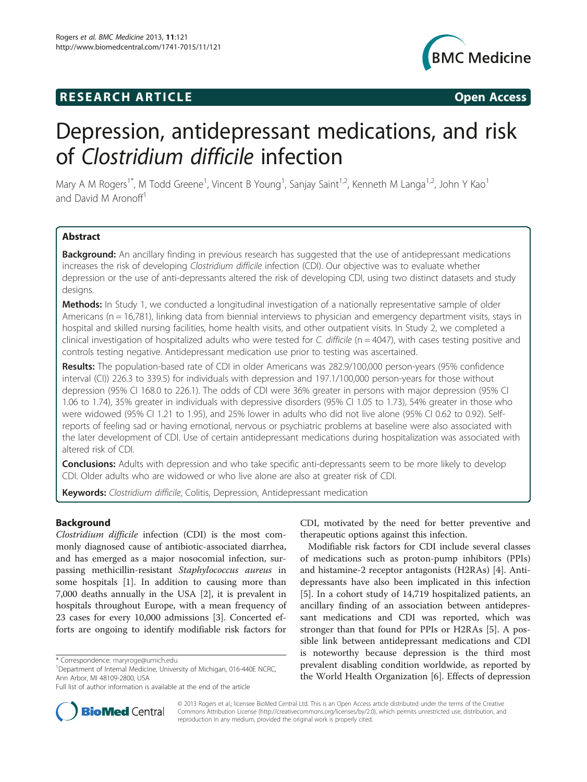## **RESEARCH ARTICLE Example 2018 CONSIDERING CONSIDERING CONSIDERING CONSIDERING CONSIDERING CONSIDERING CONSIDERING CONSIDERING CONSIDERING CONSIDERING CONSIDERING CONSIDERING CONSIDERING CONSIDERING CONSIDERING CONSIDE**



# Depression, antidepressant medications, and risk of Clostridium difficile infection

Mary A M Rogers<sup>1\*</sup>, M Todd Greene<sup>1</sup>, Vincent B Young<sup>1</sup>, Sanjay Saint<sup>1,2</sup>, Kenneth M Langa<sup>1,2</sup>, John Y Kao<sup>1</sup> and David M Aronoff<sup>1</sup>

## **Abstract**

Background: An ancillary finding in previous research has suggested that the use of antidepressant medications increases the risk of developing Clostridium difficile infection (CDI). Our objective was to evaluate whether depression or the use of anti-depressants altered the risk of developing CDI, using two distinct datasets and study designs.

Methods: In Study 1, we conducted a longitudinal investigation of a nationally representative sample of older Americans (n = 16,781), linking data from biennial interviews to physician and emergency department visits, stays in hospital and skilled nursing facilities, home health visits, and other outpatient visits. In Study 2, we completed a clinical investigation of hospitalized adults who were tested for C. difficile ( $n = 4047$ ), with cases testing positive and controls testing negative. Antidepressant medication use prior to testing was ascertained.

Results: The population-based rate of CDI in older Americans was 282.9/100,000 person-years (95% confidence interval (CI)) 226.3 to 339.5) for individuals with depression and 197.1/100,000 person-years for those without depression (95% CI 168.0 to 226.1). The odds of CDI were 36% greater in persons with major depression (95% CI 1.06 to 1.74), 35% greater in individuals with depressive disorders (95% CI 1.05 to 1.73), 54% greater in those who were widowed (95% CI 1.21 to 1.95), and 25% lower in adults who did not live alone (95% CI 0.62 to 0.92). Selfreports of feeling sad or having emotional, nervous or psychiatric problems at baseline were also associated with the later development of CDI. Use of certain antidepressant medications during hospitalization was associated with altered risk of CDI.

**Conclusions:** Adults with depression and who take specific anti-depressants seem to be more likely to develop CDI. Older adults who are widowed or who live alone are also at greater risk of CDI.

Keywords: Clostridium difficile, Colitis, Depression, Antidepressant medication

## Background

Clostridium difficile infection (CDI) is the most commonly diagnosed cause of antibiotic-associated diarrhea, and has emerged as a major nosocomial infection, surpassing methicillin-resistant Staphylococcus aureus in some hospitals [[1\]](#page-9-0). In addition to causing more than 7,000 deaths annually in the USA [\[2](#page-9-0)], it is prevalent in hospitals throughout Europe, with a mean frequency of 23 cases for every 10,000 admissions [\[3\]](#page-9-0). Concerted efforts are ongoing to identify modifiable risk factors for

CDI, motivated by the need for better preventive and therapeutic options against this infection.

Modifiable risk factors for CDI include several classes of medications such as proton-pump inhibitors (PPIs) and histamine-2 receptor antagonists (H2RAs) [\[4](#page-9-0)]. Antidepressants have also been implicated in this infection [[5\]](#page-9-0). In a cohort study of 14,719 hospitalized patients, an ancillary finding of an association between antidepressant medications and CDI was reported, which was stronger than that found for PPIs or H2RAs [[5](#page-9-0)]. A possible link between antidepressant medications and CDI is noteworthy because depression is the third most prevalent disabling condition worldwide, as reported by the World Health Organization [\[6](#page-9-0)]. Effects of depression



© 2013 Rogers et al.; licensee BioMed Central Ltd. This is an Open Access article distributed under the terms of the Creative Commons Attribution License [\(http://creativecommons.org/licenses/by/2.0\)](http://creativecommons.org/licenses/by/2.0), which permits unrestricted use, distribution, and reproduction in any medium, provided the original work is properly cited.

<sup>\*</sup> Correspondence: [maryroge@umich.edu](mailto:maryroge@umich.edu) <sup>1</sup>

<sup>&</sup>lt;sup>1</sup>Department of Internal Medicine, University of Michigan, 016-440E NCRC, Ann Arbor, MI 48109-2800, USA

Full list of author information is available at the end of the article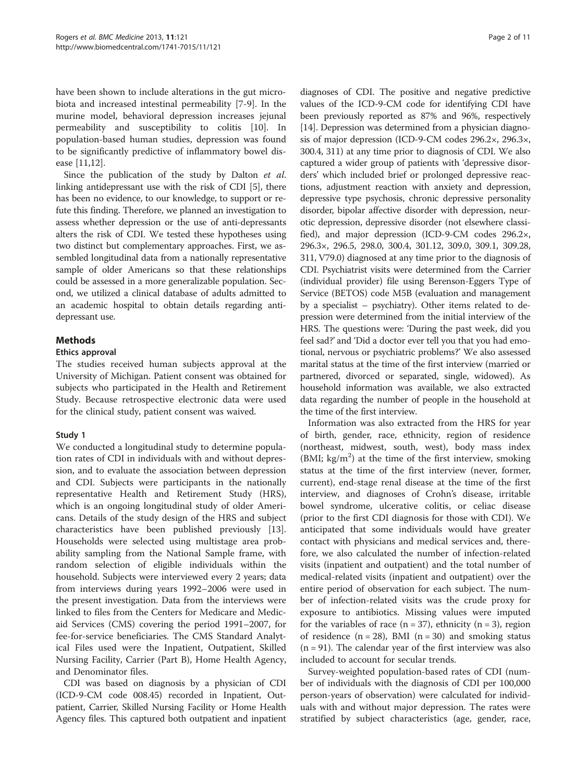have been shown to include alterations in the gut microbiota and increased intestinal permeability [\[7-9](#page-9-0)]. In the murine model, behavioral depression increases jejunal permeability and susceptibility to colitis [\[10](#page-9-0)]. In population-based human studies, depression was found to be significantly predictive of inflammatory bowel disease [[11,12\]](#page-9-0).

Since the publication of the study by Dalton et al. linking antidepressant use with the risk of CDI [\[5](#page-9-0)], there has been no evidence, to our knowledge, to support or refute this finding. Therefore, we planned an investigation to assess whether depression or the use of anti-depressants alters the risk of CDI. We tested these hypotheses using two distinct but complementary approaches. First, we assembled longitudinal data from a nationally representative sample of older Americans so that these relationships could be assessed in a more generalizable population. Second, we utilized a clinical database of adults admitted to an academic hospital to obtain details regarding antidepressant use.

## Methods

#### Ethics approval

The studies received human subjects approval at the University of Michigan. Patient consent was obtained for subjects who participated in the Health and Retirement Study. Because retrospective electronic data were used for the clinical study, patient consent was waived.

## Study 1

We conducted a longitudinal study to determine population rates of CDI in individuals with and without depression, and to evaluate the association between depression and CDI. Subjects were participants in the nationally representative Health and Retirement Study (HRS), which is an ongoing longitudinal study of older Americans. Details of the study design of the HRS and subject characteristics have been published previously [\[13](#page-9-0)]. Households were selected using multistage area probability sampling from the National Sample frame, with random selection of eligible individuals within the household. Subjects were interviewed every 2 years; data from interviews during years 1992–2006 were used in the present investigation. Data from the interviews were linked to files from the Centers for Medicare and Medicaid Services (CMS) covering the period 1991–2007, for fee-for-service beneficiaries. The CMS Standard Analytical Files used were the Inpatient, Outpatient, Skilled Nursing Facility, Carrier (Part B), Home Health Agency, and Denominator files.

CDI was based on diagnosis by a physician of CDI (ICD-9-CM code 008.45) recorded in Inpatient, Outpatient, Carrier, Skilled Nursing Facility or Home Health Agency files. This captured both outpatient and inpatient

diagnoses of CDI. The positive and negative predictive values of the ICD-9-CM code for identifying CDI have been previously reported as 87% and 96%, respectively [[14](#page-9-0)]. Depression was determined from a physician diagnosis of major depression (ICD-9-CM codes 296.2×, 296.3×, 300.4, 311) at any time prior to diagnosis of CDI. We also captured a wider group of patients with 'depressive disorders' which included brief or prolonged depressive reactions, adjustment reaction with anxiety and depression, depressive type psychosis, chronic depressive personality disorder, bipolar affective disorder with depression, neurotic depression, depressive disorder (not elsewhere classified), and major depression (ICD-9-CM codes 296.2×, 296.3×, 296.5, 298.0, 300.4, 301.12, 309.0, 309.1, 309.28, 311, V79.0) diagnosed at any time prior to the diagnosis of CDI. Psychiatrist visits were determined from the Carrier (individual provider) file using Berenson-Eggers Type of Service (BETOS) code M5B (evaluation and management by a specialist – psychiatry). Other items related to depression were determined from the initial interview of the HRS. The questions were: 'During the past week, did you feel sad?' and 'Did a doctor ever tell you that you had emotional, nervous or psychiatric problems?' We also assessed marital status at the time of the first interview (married or partnered, divorced or separated, single, widowed). As household information was available, we also extracted data regarding the number of people in the household at the time of the first interview.

Information was also extracted from the HRS for year of birth, gender, race, ethnicity, region of residence (northeast, midwest, south, west), body mass index (BMI;  $\text{kg/m}^2$ ) at the time of the first interview, smoking status at the time of the first interview (never, former, current), end-stage renal disease at the time of the first interview, and diagnoses of Crohn's disease, irritable bowel syndrome, ulcerative colitis, or celiac disease (prior to the first CDI diagnosis for those with CDI). We anticipated that some individuals would have greater contact with physicians and medical services and, therefore, we also calculated the number of infection-related visits (inpatient and outpatient) and the total number of medical-related visits (inpatient and outpatient) over the entire period of observation for each subject. The number of infection-related visits was the crude proxy for exposure to antibiotics. Missing values were imputed for the variables of race  $(n = 37)$ , ethnicity  $(n = 3)$ , region of residence  $(n = 28)$ , BMI  $(n = 30)$  and smoking status  $(n = 91)$ . The calendar year of the first interview was also included to account for secular trends.

Survey-weighted population-based rates of CDI (number of individuals with the diagnosis of CDI per 100,000 person-years of observation) were calculated for individuals with and without major depression. The rates were stratified by subject characteristics (age, gender, race,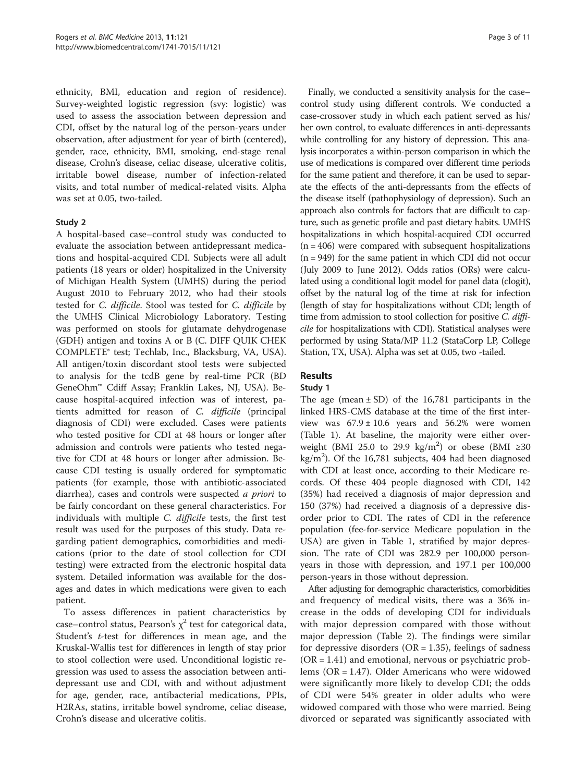ethnicity, BMI, education and region of residence). Survey-weighted logistic regression (svy: logistic) was used to assess the association between depression and CDI, offset by the natural log of the person-years under observation, after adjustment for year of birth (centered), gender, race, ethnicity, BMI, smoking, end-stage renal disease, Crohn's disease, celiac disease, ulcerative colitis, irritable bowel disease, number of infection-related visits, and total number of medical-related visits. Alpha was set at 0.05, two-tailed.

#### Study 2

A hospital-based case–control study was conducted to evaluate the association between antidepressant medications and hospital-acquired CDI. Subjects were all adult patients (18 years or older) hospitalized in the University of Michigan Health System (UMHS) during the period August 2010 to February 2012, who had their stools tested for C. difficile. Stool was tested for C. difficile by the UMHS Clinical Microbiology Laboratory. Testing was performed on stools for glutamate dehydrogenase (GDH) antigen and toxins A or B (C. DIFF QUIK CHEK COMPLETE® test; Techlab, Inc., Blacksburg, VA, USA). All antigen/toxin discordant stool tests were subjected to analysis for the tcdB gene by real-time PCR (BD GeneOhm™ Cdiff Assay; Franklin Lakes, NJ, USA). Because hospital-acquired infection was of interest, patients admitted for reason of C. difficile (principal diagnosis of CDI) were excluded. Cases were patients who tested positive for CDI at 48 hours or longer after admission and controls were patients who tested negative for CDI at 48 hours or longer after admission. Because CDI testing is usually ordered for symptomatic patients (for example, those with antibiotic-associated diarrhea), cases and controls were suspected a priori to be fairly concordant on these general characteristics. For individuals with multiple *C. difficile* tests, the first test result was used for the purposes of this study. Data regarding patient demographics, comorbidities and medications (prior to the date of stool collection for CDI testing) were extracted from the electronic hospital data system. Detailed information was available for the dosages and dates in which medications were given to each patient.

To assess differences in patient characteristics by case–control status, Pearson's  $\chi^2$  test for categorical data, Student's t-test for differences in mean age, and the Kruskal-Wallis test for differences in length of stay prior to stool collection were used. Unconditional logistic regression was used to assess the association between antidepressant use and CDI, with and without adjustment for age, gender, race, antibacterial medications, PPIs, H2RAs, statins, irritable bowel syndrome, celiac disease, Crohn's disease and ulcerative colitis.

Finally, we conducted a sensitivity analysis for the case– control study using different controls. We conducted a case-crossover study in which each patient served as his/ her own control, to evaluate differences in anti-depressants while controlling for any history of depression. This analysis incorporates a within-person comparison in which the use of medications is compared over different time periods for the same patient and therefore, it can be used to separate the effects of the anti-depressants from the effects of the disease itself (pathophysiology of depression). Such an approach also controls for factors that are difficult to capture, such as genetic profile and past dietary habits. UMHS hospitalizations in which hospital-acquired CDI occurred  $(n = 406)$  were compared with subsequent hospitalizations  $(n = 949)$  for the same patient in which CDI did not occur (July 2009 to June 2012). Odds ratios (ORs) were calculated using a conditional logit model for panel data (clogit), offset by the natural log of the time at risk for infection (length of stay for hospitalizations without CDI; length of time from admission to stool collection for positive C. difficile for hospitalizations with CDI). Statistical analyses were performed by using Stata/MP 11.2 (StataCorp LP, College Station, TX, USA). Alpha was set at 0.05, two -tailed.

## Results

#### Study 1

The age (mean  $\pm$  SD) of the 16,781 participants in the linked HRS-CMS database at the time of the first interview was  $67.9 \pm 10.6$  years and  $56.2\%$  were women (Table [1](#page-3-0)). At baseline, the majority were either overweight (BMI 25.0 to 29.9 kg/m<sup>2</sup>) or obese (BMI ≥30  $\text{kg/m}^2$ ). Of the 16,781 subjects, 404 had been diagnosed with CDI at least once, according to their Medicare records. Of these 404 people diagnosed with CDI, 142 (35%) had received a diagnosis of major depression and 150 (37%) had received a diagnosis of a depressive disorder prior to CDI. The rates of CDI in the reference population (fee-for-service Medicare population in the USA) are given in Table [1,](#page-3-0) stratified by major depression. The rate of CDI was 282.9 per 100,000 personyears in those with depression, and 197.1 per 100,000 person-years in those without depression.

After adjusting for demographic characteristics, comorbidities and frequency of medical visits, there was a 36% increase in the odds of developing CDI for individuals with major depression compared with those without major depression (Table [2\)](#page-4-0). The findings were similar for depressive disorders ( $OR = 1.35$ ), feelings of sadness  $(OR = 1.41)$  and emotional, nervous or psychiatric problems (OR = 1.47). Older Americans who were widowed were significantly more likely to develop CDI; the odds of CDI were 54% greater in older adults who were widowed compared with those who were married. Being divorced or separated was significantly associated with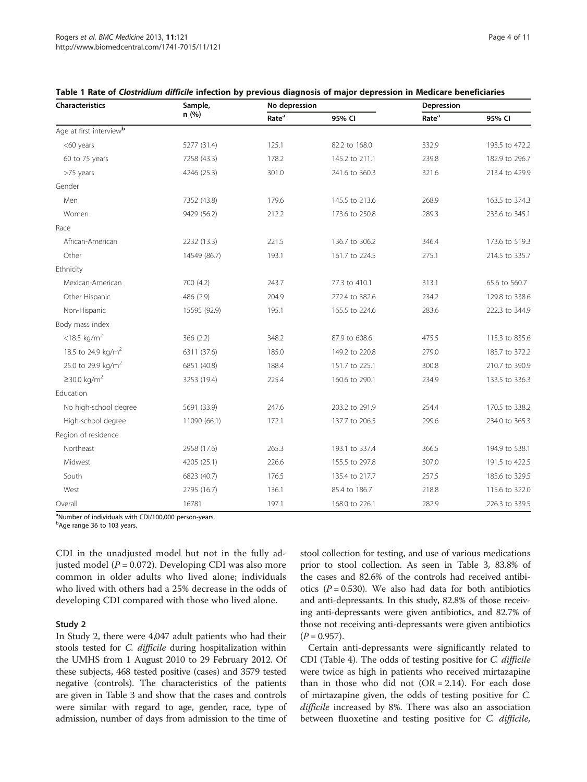| Characteristics                     | Sample,      | No depression     |                | Depression        |                |  |
|-------------------------------------|--------------|-------------------|----------------|-------------------|----------------|--|
|                                     | n(%)         | Rate <sup>a</sup> | 95% CI         | Rate <sup>a</sup> | 95% CI         |  |
| Age at first interview <sup>b</sup> |              |                   |                |                   |                |  |
| <60 years                           | 5277 (31.4)  | 125.1             | 82.2 to 168.0  | 332.9             | 193.5 to 472.2 |  |
| 60 to 75 years                      | 7258 (43.3)  | 178.2             | 145.2 to 211.1 | 239.8             | 182.9 to 296.7 |  |
| >75 years                           | 4246 (25.3)  | 301.0             | 241.6 to 360.3 | 321.6             | 213.4 to 429.9 |  |
| Gender                              |              |                   |                |                   |                |  |
| Men                                 | 7352 (43.8)  | 179.6             | 145.5 to 213.6 | 268.9             | 163.5 to 374.3 |  |
| Women                               | 9429 (56.2)  | 212.2             | 173.6 to 250.8 | 289.3             | 233.6 to 345.1 |  |
| Race                                |              |                   |                |                   |                |  |
| African-American                    | 2232 (13.3)  | 221.5             | 136.7 to 306.2 | 346.4             | 173.6 to 519.3 |  |
| Other                               | 14549 (86.7) | 193.1             | 161.7 to 224.5 | 275.1             | 214.5 to 335.7 |  |
| Ethnicity                           |              |                   |                |                   |                |  |
| Mexican-American                    | 700 (4.2)    | 243.7             | 77.3 to 410.1  | 313.1             | 65.6 to 560.7  |  |
| Other Hispanic                      | 486 (2.9)    | 204.9             | 272.4 to 382.6 | 234.2             | 129.8 to 338.6 |  |
| Non-Hispanic                        | 15595 (92.9) | 195.1             | 165.5 to 224.6 | 283.6             | 222.3 to 344.9 |  |
| Body mass index                     |              |                   |                |                   |                |  |
| $<$ 18.5 kg/m <sup>2</sup>          | 366(2.2)     | 348.2             | 87.9 to 608.6  | 475.5             | 115.3 to 835.6 |  |
| 18.5 to 24.9 kg/m <sup>2</sup>      | 6311 (37.6)  | 185.0             | 149.2 to 220.8 | 279.0             | 185.7 to 372.2 |  |
| 25.0 to 29.9 kg/m <sup>2</sup>      | 6851 (40.8)  | 188.4             | 151.7 to 225.1 | 300.8             | 210.7 to 390.9 |  |
| ≥30.0 kg/m <sup>2</sup>             | 3253 (19.4)  | 225.4             | 160.6 to 290.1 | 234.9             | 133.5 to 336.3 |  |
| Education                           |              |                   |                |                   |                |  |
| No high-school degree               | 5691 (33.9)  | 247.6             | 203.2 to 291.9 | 254.4             | 170.5 to 338.2 |  |
| High-school degree                  | 11090 (66.1) | 172.1             | 137.7 to 206.5 | 299.6             | 234.0 to 365.3 |  |
| Region of residence                 |              |                   |                |                   |                |  |
| Northeast                           | 2958 (17.6)  | 265.3             | 193.1 to 337.4 | 366.5             | 194.9 to 538.1 |  |
| Midwest                             | 4205 (25.1)  | 226.6             | 155.5 to 297.8 | 307.0             | 191.5 to 422.5 |  |
| South                               | 6823 (40.7)  | 176.5             | 135.4 to 217.7 | 257.5             | 185.6 to 329.5 |  |
| West                                | 2795 (16.7)  | 136.1             | 85.4 to 186.7  | 218.8             | 115.6 to 322.0 |  |
| Overall                             | 16781        | 197.1             | 168.0 to 226.1 | 282.9             | 226.3 to 339.5 |  |

<span id="page-3-0"></span>

|  | Table 1 Rate of Clostridium difficile infection by previous diagnosis of major depression in Medicare beneficiaries |  |  |  |  |  |
|--|---------------------------------------------------------------------------------------------------------------------|--|--|--|--|--|
|--|---------------------------------------------------------------------------------------------------------------------|--|--|--|--|--|

<sup>a</sup>Number of individuals with CDI/100,000 person-years.

<sup>b</sup>Age range 36 to 103 years.

CDI in the unadjusted model but not in the fully adjusted model ( $P = 0.072$ ). Developing CDI was also more common in older adults who lived alone; individuals who lived with others had a 25% decrease in the odds of developing CDI compared with those who lived alone.

#### Study 2

In Study 2, there were 4,047 adult patients who had their stools tested for C. difficile during hospitalization within the UMHS from 1 August 2010 to 29 February 2012. Of these subjects, 468 tested positive (cases) and 3579 tested negative (controls). The characteristics of the patients are given in Table [3](#page-5-0) and show that the cases and controls were similar with regard to age, gender, race, type of admission, number of days from admission to the time of stool collection for testing, and use of various medications prior to stool collection. As seen in Table [3](#page-5-0), 83.8% of the cases and 82.6% of the controls had received antibiotics  $(P = 0.530)$ . We also had data for both antibiotics and anti-depressants. In this study, 82.8% of those receiving anti-depressants were given antibiotics, and 82.7% of those not receiving anti-depressants were given antibiotics  $(P = 0.957)$ .

Certain anti-depressants were significantly related to CDI (Table [4\)](#page-6-0). The odds of testing positive for C. difficile were twice as high in patients who received mirtazapine than in those who did not  $(OR = 2.14)$ . For each dose of mirtazapine given, the odds of testing positive for C. difficile increased by 8%. There was also an association between fluoxetine and testing positive for C. difficile,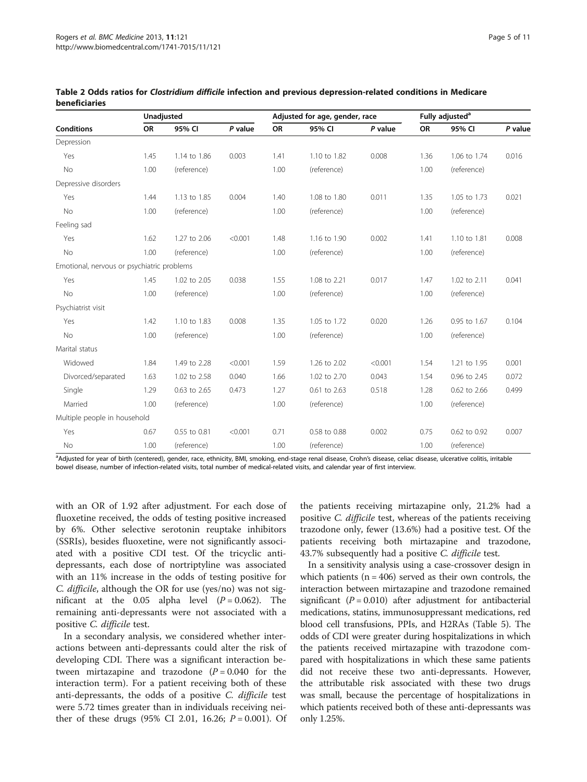|                                            | <b>Unadjusted</b> |              |         | Adjusted for age, gender, race |              |         | Fully adjusted <sup>a</sup> |              |         |
|--------------------------------------------|-------------------|--------------|---------|--------------------------------|--------------|---------|-----------------------------|--------------|---------|
| <b>Conditions</b>                          | OR                | 95% CI       | P value | OR                             | 95% CI       | P value | OR                          | 95% CI       | P value |
| Depression                                 |                   |              |         |                                |              |         |                             |              |         |
| Yes                                        | 1.45              | 1.14 to 1.86 | 0.003   | 1.41                           | 1.10 to 1.82 | 0.008   | 1.36                        | 1.06 to 1.74 | 0.016   |
| No                                         | 1.00              | (reference)  |         | 1.00                           | (reference)  |         | 1.00                        | (reference)  |         |
| Depressive disorders                       |                   |              |         |                                |              |         |                             |              |         |
| Yes                                        | 1.44              | 1.13 to 1.85 | 0.004   | 1.40                           | 1.08 to 1.80 | 0.011   | 1.35                        | 1.05 to 1.73 | 0.021   |
| No                                         | 1.00              | (reference)  |         | 1.00                           | (reference)  |         | 1.00                        | (reference)  |         |
| Feeling sad                                |                   |              |         |                                |              |         |                             |              |         |
| Yes                                        | 1.62              | 1.27 to 2.06 | < 0.001 | 1.48                           | 1.16 to 1.90 | 0.002   | 1.41                        | 1.10 to 1.81 | 0.008   |
| No                                         | 1.00              | (reference)  |         | 1.00                           | (reference)  |         | 1.00                        | (reference)  |         |
| Emotional, nervous or psychiatric problems |                   |              |         |                                |              |         |                             |              |         |
| Yes                                        | 1.45              | 1.02 to 2.05 | 0.038   | 1.55                           | 1.08 to 2.21 | 0.017   | 1.47                        | 1.02 to 2.11 | 0.041   |
| No                                         | 1.00              | (reference)  |         | 1.00                           | (reference)  |         | 1.00                        | (reference)  |         |
| Psychiatrist visit                         |                   |              |         |                                |              |         |                             |              |         |
| Yes                                        | 1.42              | 1.10 to 1.83 | 0.008   | 1.35                           | 1.05 to 1.72 | 0.020   | 1.26                        | 0.95 to 1.67 | 0.104   |
| No                                         | 1.00              | (reference)  |         | 1.00                           | (reference)  |         | 1.00                        | (reference)  |         |
| Marital status                             |                   |              |         |                                |              |         |                             |              |         |
| Widowed                                    | 1.84              | 1.49 to 2.28 | < 0.001 | 1.59                           | 1.26 to 2.02 | < 0.001 | 1.54                        | 1.21 to 1.95 | 0.001   |
| Divorced/separated                         | 1.63              | 1.02 to 2.58 | 0.040   | 1.66                           | 1.02 to 2.70 | 0.043   | 1.54                        | 0.96 to 2.45 | 0.072   |
| Single                                     | 1.29              | 0.63 to 2.65 | 0.473   | 1.27                           | 0.61 to 2.63 | 0.518   | 1.28                        | 0.62 to 2.66 | 0.499   |
| Married                                    | 1.00              | (reference)  |         | 1.00                           | (reference)  |         | 1.00                        | (reference)  |         |
| Multiple people in household               |                   |              |         |                                |              |         |                             |              |         |
| Yes                                        | 0.67              | 0.55 to 0.81 | < 0.001 | 0.71                           | 0.58 to 0.88 | 0.002   | 0.75                        | 0.62 to 0.92 | 0.007   |
| No                                         | 1.00              | (reference)  |         | 1.00                           | (reference)  |         | 1.00                        | (reference)  |         |

<span id="page-4-0"></span>Table 2 Odds ratios for Clostridium difficile infection and previous depression-related conditions in Medicare beneficiaries

a<br>Adjusted for year of birth (centered), gender, race, ethnicity, BMI, smoking, end-stage renal disease, Crohn's disease, celiac disease, ulcerative colitis, irritable bowel disease, number of infection-related visits, total number of medical-related visits, and calendar year of first interview.

with an OR of 1.92 after adjustment. For each dose of fluoxetine received, the odds of testing positive increased by 6%. Other selective serotonin reuptake inhibitors (SSRIs), besides fluoxetine, were not significantly associated with a positive CDI test. Of the tricyclic antidepressants, each dose of nortriptyline was associated with an 11% increase in the odds of testing positive for C. difficile, although the OR for use (yes/no) was not significant at the  $0.05$  alpha level ( $P = 0.062$ ). The remaining anti-depressants were not associated with a positive C. difficile test.

In a secondary analysis, we considered whether interactions between anti-depressants could alter the risk of developing CDI. There was a significant interaction between mirtazapine and trazodone  $(P = 0.040$  for the interaction term). For a patient receiving both of these anti-depressants, the odds of a positive C. difficile test were 5.72 times greater than in individuals receiving neither of these drugs (95% CI 2.01, 16.26;  $P = 0.001$ ). Of

the patients receiving mirtazapine only, 21.2% had a positive *C. difficile* test, whereas of the patients receiving trazodone only, fewer (13.6%) had a positive test. Of the patients receiving both mirtazapine and trazodone, 43.7% subsequently had a positive *C. difficile* test.

In a sensitivity analysis using a case-crossover design in which patients ( $n = 406$ ) served as their own controls, the interaction between mirtazapine and trazodone remained significant ( $P = 0.010$ ) after adjustment for antibacterial medications, statins, immunosuppressant medications, red blood cell transfusions, PPIs, and H2RAs (Table [5](#page-7-0)). The odds of CDI were greater during hospitalizations in which the patients received mirtazapine with trazodone compared with hospitalizations in which these same patients did not receive these two anti-depressants. However, the attributable risk associated with these two drugs was small, because the percentage of hospitalizations in which patients received both of these anti-depressants was only 1.25%.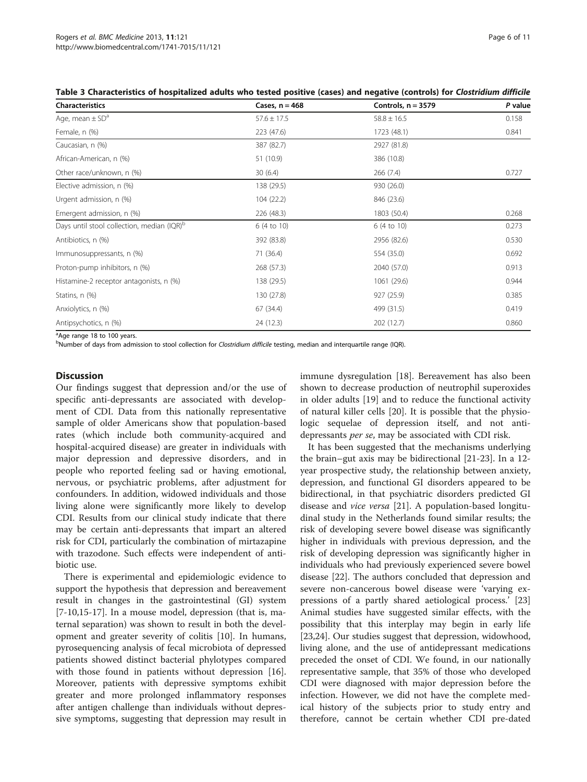| <b>Characteristics</b>                                 | Cases, $n = 468$ | Controls, $n = 3579$ | P value |
|--------------------------------------------------------|------------------|----------------------|---------|
| Age, mean $\pm$ SD <sup>a</sup>                        | $57.6 \pm 17.5$  | $58.8 \pm 16.5$      | 0.158   |
| Female, n (%)                                          | 223 (47.6)       | 1723 (48.1)          | 0.841   |
| Caucasian, n (%)                                       | 387 (82.7)       | 2927 (81.8)          |         |
| African-American, n (%)                                | 51 (10.9)        | 386 (10.8)           |         |
| Other race/unknown, n (%)                              | 30(6.4)          | 266(7.4)             | 0.727   |
| Elective admission, n (%)                              | 138 (29.5)       | 930 (26.0)           |         |
| Urgent admission, n (%)                                | 104(22.2)        | 846 (23.6)           |         |
| Emergent admission, n (%)                              | 226(48.3)        | 1803 (50.4)          | 0.268   |
| Days until stool collection, median (IQR) <sup>b</sup> | 6 (4 to 10)      | 6 (4 to 10)          | 0.273   |
| Antibiotics, n (%)                                     | 392 (83.8)       | 2956 (82.6)          | 0.530   |
| Immunosuppressants, n (%)                              | 71 (36.4)        | 554 (35.0)           | 0.692   |
| Proton-pump inhibitors, n (%)                          | 268 (57.3)       | 2040 (57.0)          | 0.913   |
| Histamine-2 receptor antagonists, n (%)                | 138 (29.5)       | 1061 (29.6)          | 0.944   |
| Statins, n (%)                                         | 130 (27.8)       | 927 (25.9)           | 0.385   |
| Anxiolytics, n (%)                                     | 67 (34.4)        | 499 (31.5)           | 0.419   |
| Antipsychotics, n (%)                                  | 24 (12.3)        | 202 (12.7)           | 0.860   |

<span id="page-5-0"></span>Table 3 Characteristics of hospitalized adults who tested positive (cases) and negative (controls) for Clostridium difficile

<sup>a</sup>Age range 18 to 100 years.

b<br>Number of days from admission to stool collection for Clostridium difficile testing, median and interquartile range (IQR).

## **Discussion**

Our findings suggest that depression and/or the use of specific anti-depressants are associated with development of CDI. Data from this nationally representative sample of older Americans show that population-based rates (which include both community-acquired and hospital-acquired disease) are greater in individuals with major depression and depressive disorders, and in people who reported feeling sad or having emotional, nervous, or psychiatric problems, after adjustment for confounders. In addition, widowed individuals and those living alone were significantly more likely to develop CDI. Results from our clinical study indicate that there may be certain anti-depressants that impart an altered risk for CDI, particularly the combination of mirtazapine with trazodone. Such effects were independent of antibiotic use.

There is experimental and epidemiologic evidence to support the hypothesis that depression and bereavement result in changes in the gastrointestinal (GI) system [[7-10,15](#page-9-0)-[17\]](#page-9-0). In a mouse model, depression (that is, maternal separation) was shown to result in both the development and greater severity of colitis [\[10](#page-9-0)]. In humans, pyrosequencing analysis of fecal microbiota of depressed patients showed distinct bacterial phylotypes compared with those found in patients without depression [\[16](#page-9-0)]. Moreover, patients with depressive symptoms exhibit greater and more prolonged inflammatory responses after antigen challenge than individuals without depressive symptoms, suggesting that depression may result in immune dysregulation [\[18\]](#page-9-0). Bereavement has also been shown to decrease production of neutrophil superoxides in older adults [\[19](#page-9-0)] and to reduce the functional activity of natural killer cells [[20](#page-9-0)]. It is possible that the physiologic sequelae of depression itself, and not antidepressants per se, may be associated with CDI risk.

It has been suggested that the mechanisms underlying the brain–gut axis may be bidirectional [[21-23](#page-9-0)]. In a 12 year prospective study, the relationship between anxiety, depression, and functional GI disorders appeared to be bidirectional, in that psychiatric disorders predicted GI disease and vice versa [[21](#page-9-0)]. A population-based longitudinal study in the Netherlands found similar results; the risk of developing severe bowel disease was significantly higher in individuals with previous depression, and the risk of developing depression was significantly higher in individuals who had previously experienced severe bowel disease [[22\]](#page-9-0). The authors concluded that depression and severe non-cancerous bowel disease were 'varying expressions of a partly shared aetiological process.' [[23](#page-9-0)] Animal studies have suggested similar effects, with the possibility that this interplay may begin in early life [[23,24\]](#page-9-0). Our studies suggest that depression, widowhood, living alone, and the use of antidepressant medications preceded the onset of CDI. We found, in our nationally representative sample, that 35% of those who developed CDI were diagnosed with major depression before the infection. However, we did not have the complete medical history of the subjects prior to study entry and therefore, cannot be certain whether CDI pre-dated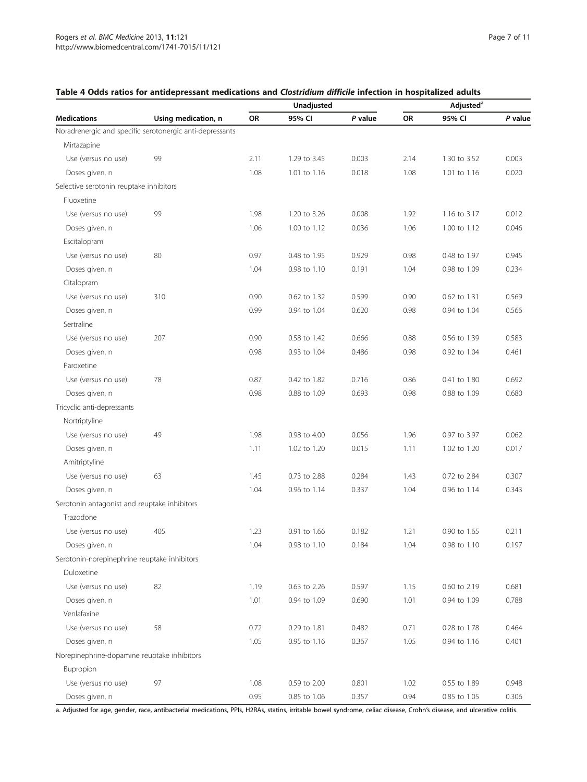## <span id="page-6-0"></span>Table 4 Odds ratios for antidepressant medications and Clostridium difficile infection in hospitalized adults

|                                              |                                                          |      | Unadjusted   |         |      | Adjusted <sup>a</sup> |         |  |
|----------------------------------------------|----------------------------------------------------------|------|--------------|---------|------|-----------------------|---------|--|
| <b>Medications</b>                           | Using medication, n                                      | OR   | 95% CI       | P value | OR   | 95% CI                | P value |  |
|                                              | Noradrenergic and specific serotonergic anti-depressants |      |              |         |      |                       |         |  |
| Mirtazapine                                  |                                                          |      |              |         |      |                       |         |  |
| Use (versus no use)                          | 99                                                       | 2.11 | 1.29 to 3.45 | 0.003   | 2.14 | 1.30 to 3.52          | 0.003   |  |
| Doses given, n                               |                                                          | 1.08 | 1.01 to 1.16 | 0.018   | 1.08 | 1.01 to 1.16          | 0.020   |  |
| Selective serotonin reuptake inhibitors      |                                                          |      |              |         |      |                       |         |  |
| Fluoxetine                                   |                                                          |      |              |         |      |                       |         |  |
| Use (versus no use)                          | 99                                                       | 1.98 | 1.20 to 3.26 | 0.008   | 1.92 | 1.16 to 3.17          | 0.012   |  |
| Doses given, n                               |                                                          | 1.06 | 1.00 to 1.12 | 0.036   | 1.06 | 1.00 to 1.12          | 0.046   |  |
| Escitalopram                                 |                                                          |      |              |         |      |                       |         |  |
| Use (versus no use)                          | 80                                                       | 0.97 | 0.48 to 1.95 | 0.929   | 0.98 | 0.48 to 1.97          | 0.945   |  |
| Doses given, n                               |                                                          | 1.04 | 0.98 to 1.10 | 0.191   | 1.04 | 0.98 to 1.09          | 0.234   |  |
| Citalopram                                   |                                                          |      |              |         |      |                       |         |  |
| Use (versus no use)                          | 310                                                      | 0.90 | 0.62 to 1.32 | 0.599   | 0.90 | 0.62 to 1.31          | 0.569   |  |
| Doses given, n                               |                                                          | 0.99 | 0.94 to 1.04 | 0.620   | 0.98 | 0.94 to 1.04          | 0.566   |  |
| Sertraline                                   |                                                          |      |              |         |      |                       |         |  |
| Use (versus no use)                          | 207                                                      | 0.90 | 0.58 to 1.42 | 0.666   | 0.88 | 0.56 to 1.39          | 0.583   |  |
| Doses given, n                               |                                                          | 0.98 | 0.93 to 1.04 | 0.486   | 0.98 | 0.92 to 1.04          | 0.461   |  |
| Paroxetine                                   |                                                          |      |              |         |      |                       |         |  |
| Use (versus no use)                          | 78                                                       | 0.87 | 0.42 to 1.82 | 0.716   | 0.86 | 0.41 to 1.80          | 0.692   |  |
| Doses given, n                               |                                                          | 0.98 | 0.88 to 1.09 | 0.693   | 0.98 | 0.88 to 1.09          | 0.680   |  |
| Tricyclic anti-depressants                   |                                                          |      |              |         |      |                       |         |  |
| Nortriptyline                                |                                                          |      |              |         |      |                       |         |  |
| Use (versus no use)                          | 49                                                       | 1.98 | 0.98 to 4.00 | 0.056   | 1.96 | 0.97 to 3.97          | 0.062   |  |
| Doses given, n                               |                                                          | 1.11 | 1.02 to 1.20 | 0.015   | 1.11 | 1.02 to 1.20          | 0.017   |  |
| Amitriptyline                                |                                                          |      |              |         |      |                       |         |  |
| Use (versus no use)                          | 63                                                       | 1.45 | 0.73 to 2.88 | 0.284   | 1.43 | 0.72 to 2.84          | 0.307   |  |
| Doses given, n                               |                                                          | 1.04 | 0.96 to 1.14 | 0.337   | 1.04 | 0.96 to 1.14          | 0.343   |  |
| Serotonin antagonist and reuptake inhibitors |                                                          |      |              |         |      |                       |         |  |
| Trazodone                                    |                                                          |      |              |         |      |                       |         |  |
| Use (versus no use)                          | 405                                                      | 1.23 | 0.91 to 1.66 | 0.182   | 1.21 | 0.90 to 1.65          | 0.211   |  |
| Doses given, n                               |                                                          | 1.04 | 0.98 to 1.10 | 0.184   | 1.04 | 0.98 to 1.10          | 0.197   |  |
| Serotonin-norepinephrine reuptake inhibitors |                                                          |      |              |         |      |                       |         |  |
| Duloxetine                                   |                                                          |      |              |         |      |                       |         |  |
| Use (versus no use)                          | 82                                                       | 1.19 | 0.63 to 2.26 | 0.597   | 1.15 | 0.60 to 2.19          | 0.681   |  |
| Doses given, n                               |                                                          | 1.01 | 0.94 to 1.09 | 0.690   | 1.01 | 0.94 to 1.09          | 0.788   |  |
| Venlafaxine                                  |                                                          |      |              |         |      |                       |         |  |
| Use (versus no use)                          | 58                                                       | 0.72 | 0.29 to 1.81 | 0.482   | 0.71 | 0.28 to 1.78          | 0.464   |  |
| Doses given, n                               |                                                          | 1.05 | 0.95 to 1.16 | 0.367   | 1.05 | 0.94 to 1.16          | 0.401   |  |
| Norepinephrine-dopamine reuptake inhibitors  |                                                          |      |              |         |      |                       |         |  |
| Bupropion                                    |                                                          |      |              |         |      |                       |         |  |
| Use (versus no use)                          | 97                                                       | 1.08 | 0.59 to 2.00 | 0.801   | 1.02 | 0.55 to 1.89          | 0.948   |  |
| Doses given, n                               |                                                          | 0.95 | 0.85 to 1.06 | 0.357   | 0.94 | 0.85 to 1.05          | 0.306   |  |

a. Adjusted for age, gender, race, antibacterial medications, PPIs, H2RAs, statins, irritable bowel syndrome, celiac disease, Crohn's disease, and ulcerative colitis.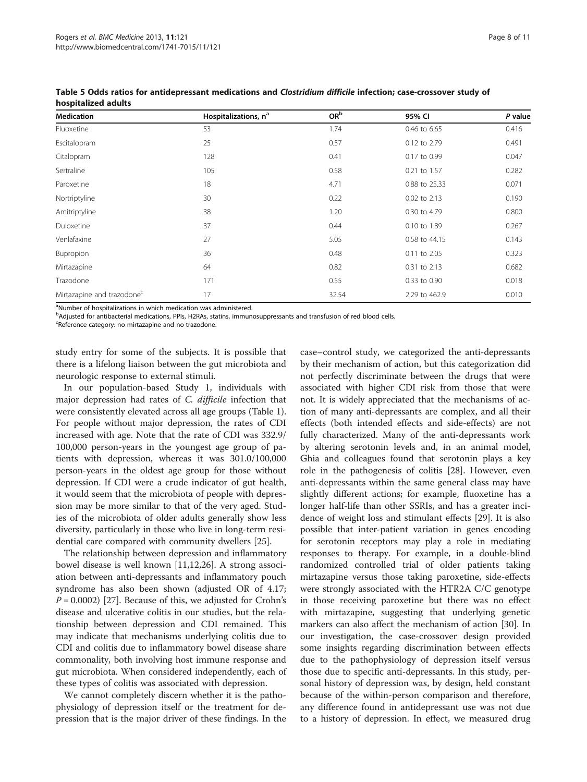| <b>Medication</b>                      | Hospitalizations, n <sup>a</sup> | OR <sup>b</sup> | 95% CI        | P value |
|----------------------------------------|----------------------------------|-----------------|---------------|---------|
| Fluoxetine                             | 53                               | 1.74            | 0.46 to 6.65  | 0.416   |
| Escitalopram                           | 25                               | 0.57            | 0.12 to 2.79  | 0.491   |
| Citalopram                             | 128                              | 0.41            | 0.17 to 0.99  | 0.047   |
| Sertraline                             | 105                              | 0.58            | 0.21 to 1.57  | 0.282   |
| Paroxetine                             | 18                               | 4.71            | 0.88 to 25.33 | 0.071   |
| Nortriptyline                          | 30                               | 0.22            | 0.02 to 2.13  | 0.190   |
| Amitriptyline                          | 38                               | 1.20            | 0.30 to 4.79  | 0.800   |
| Duloxetine                             | 37                               | 0.44            | 0.10 to 1.89  | 0.267   |
| Venlafaxine                            | 27                               | 5.05            | 0.58 to 44.15 | 0.143   |
| Bupropion                              | 36                               | 0.48            | 0.11 to 2.05  | 0.323   |
| Mirtazapine                            | 64                               | 0.82            | 0.31 to 2.13  | 0.682   |
| Trazodone                              | 171                              | 0.55            | 0.33 to 0.90  | 0.018   |
| Mirtazapine and trazodone <sup>c</sup> | 17                               | 32.54           | 2.29 to 462.9 | 0.010   |

<span id="page-7-0"></span>Table 5 Odds ratios for antidepressant medications and Clostridium difficile infection; case-crossover study of hospitalized adults

<sup>a</sup>Number of hospitalizations in which medication was administered.

b Adjusted for antibacterial medications, PPIs, H2RAs, statins, immunosuppressants and transfusion of red blood cells.

<sup>c</sup>Reference category: no mirtazapine and no trazodone.

study entry for some of the subjects. It is possible that there is a lifelong liaison between the gut microbiota and neurologic response to external stimuli.

In our population-based Study 1, individuals with major depression had rates of C. difficile infection that were consistently elevated across all age groups (Table [1](#page-3-0)). For people without major depression, the rates of CDI increased with age. Note that the rate of CDI was 332.9/ 100,000 person-years in the youngest age group of patients with depression, whereas it was 301.0/100,000 person-years in the oldest age group for those without depression. If CDI were a crude indicator of gut health, it would seem that the microbiota of people with depression may be more similar to that of the very aged. Studies of the microbiota of older adults generally show less diversity, particularly in those who live in long-term residential care compared with community dwellers [[25\]](#page-9-0).

The relationship between depression and inflammatory bowel disease is well known [\[11,12,26](#page-9-0)]. A strong association between anti-depressants and inflammatory pouch syndrome has also been shown (adjusted OR of 4.17;  $P = 0.0002$ ) [[27\]](#page-10-0). Because of this, we adjusted for Crohn's disease and ulcerative colitis in our studies, but the relationship between depression and CDI remained. This may indicate that mechanisms underlying colitis due to CDI and colitis due to inflammatory bowel disease share commonality, both involving host immune response and gut microbiota. When considered independently, each of these types of colitis was associated with depression.

We cannot completely discern whether it is the pathophysiology of depression itself or the treatment for depression that is the major driver of these findings. In the

case–control study, we categorized the anti-depressants by their mechanism of action, but this categorization did not perfectly discriminate between the drugs that were associated with higher CDI risk from those that were not. It is widely appreciated that the mechanisms of action of many anti-depressants are complex, and all their effects (both intended effects and side-effects) are not fully characterized. Many of the anti-depressants work by altering serotonin levels and, in an animal model, Ghia and colleagues found that serotonin plays a key role in the pathogenesis of colitis [\[28\]](#page-10-0). However, even anti-depressants within the same general class may have slightly different actions; for example, fluoxetine has a longer half-life than other SSRIs, and has a greater incidence of weight loss and stimulant effects [[29\]](#page-10-0). It is also possible that inter-patient variation in genes encoding for serotonin receptors may play a role in mediating responses to therapy. For example, in a double-blind randomized controlled trial of older patients taking mirtazapine versus those taking paroxetine, side-effects were strongly associated with the HTR2A C/C genotype in those receiving paroxetine but there was no effect with mirtazapine, suggesting that underlying genetic markers can also affect the mechanism of action [[30](#page-10-0)]. In our investigation, the case-crossover design provided some insights regarding discrimination between effects due to the pathophysiology of depression itself versus those due to specific anti-depressants. In this study, personal history of depression was, by design, held constant because of the within-person comparison and therefore, any difference found in antidepressant use was not due to a history of depression. In effect, we measured drug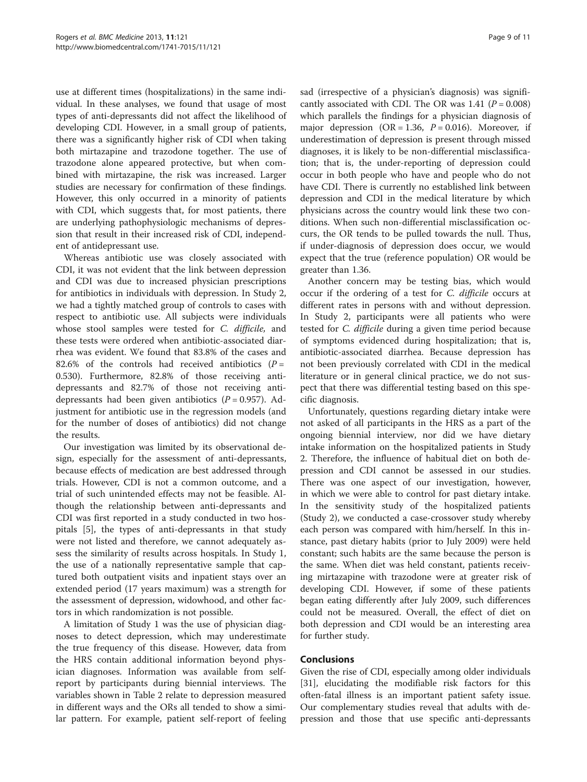use at different times (hospitalizations) in the same individual. In these analyses, we found that usage of most types of anti-depressants did not affect the likelihood of developing CDI. However, in a small group of patients, there was a significantly higher risk of CDI when taking both mirtazapine and trazodone together. The use of trazodone alone appeared protective, but when combined with mirtazapine, the risk was increased. Larger studies are necessary for confirmation of these findings. However, this only occurred in a minority of patients with CDI, which suggests that, for most patients, there are underlying pathophysiologic mechanisms of depression that result in their increased risk of CDI, independent of antidepressant use.

Whereas antibiotic use was closely associated with CDI, it was not evident that the link between depression and CDI was due to increased physician prescriptions for antibiotics in individuals with depression. In Study 2, we had a tightly matched group of controls to cases with respect to antibiotic use. All subjects were individuals whose stool samples were tested for C. difficile, and these tests were ordered when antibiotic-associated diarrhea was evident. We found that 83.8% of the cases and 82.6% of the controls had received antibiotics  $(P =$ 0.530). Furthermore, 82.8% of those receiving antidepressants and 82.7% of those not receiving antidepressants had been given antibiotics ( $P = 0.957$ ). Adjustment for antibiotic use in the regression models (and for the number of doses of antibiotics) did not change the results.

Our investigation was limited by its observational design, especially for the assessment of anti-depressants, because effects of medication are best addressed through trials. However, CDI is not a common outcome, and a trial of such unintended effects may not be feasible. Although the relationship between anti-depressants and CDI was first reported in a study conducted in two hospitals [\[5\]](#page-9-0), the types of anti-depressants in that study were not listed and therefore, we cannot adequately assess the similarity of results across hospitals. In Study 1, the use of a nationally representative sample that captured both outpatient visits and inpatient stays over an extended period (17 years maximum) was a strength for the assessment of depression, widowhood, and other factors in which randomization is not possible.

A limitation of Study 1 was the use of physician diagnoses to detect depression, which may underestimate the true frequency of this disease. However, data from the HRS contain additional information beyond physician diagnoses. Information was available from selfreport by participants during biennial interviews. The variables shown in Table [2](#page-4-0) relate to depression measured in different ways and the ORs all tended to show a similar pattern. For example, patient self-report of feeling

sad (irrespective of a physician's diagnosis) was significantly associated with CDI. The OR was  $1.41$  ( $P = 0.008$ ) which parallels the findings for a physician diagnosis of major depression (OR = 1.36,  $P = 0.016$ ). Moreover, if underestimation of depression is present through missed diagnoses, it is likely to be non-differential misclassification; that is, the under-reporting of depression could occur in both people who have and people who do not have CDI. There is currently no established link between depression and CDI in the medical literature by which physicians across the country would link these two conditions. When such non-differential misclassification occurs, the OR tends to be pulled towards the null. Thus, if under-diagnosis of depression does occur, we would expect that the true (reference population) OR would be greater than 1.36.

Another concern may be testing bias, which would occur if the ordering of a test for C. difficile occurs at different rates in persons with and without depression. In Study 2, participants were all patients who were tested for C. difficile during a given time period because of symptoms evidenced during hospitalization; that is, antibiotic-associated diarrhea. Because depression has not been previously correlated with CDI in the medical literature or in general clinical practice, we do not suspect that there was differential testing based on this specific diagnosis.

Unfortunately, questions regarding dietary intake were not asked of all participants in the HRS as a part of the ongoing biennial interview, nor did we have dietary intake information on the hospitalized patients in Study 2. Therefore, the influence of habitual diet on both depression and CDI cannot be assessed in our studies. There was one aspect of our investigation, however, in which we were able to control for past dietary intake. In the sensitivity study of the hospitalized patients (Study 2), we conducted a case-crossover study whereby each person was compared with him/herself. In this instance, past dietary habits (prior to July 2009) were held constant; such habits are the same because the person is the same. When diet was held constant, patients receiving mirtazapine with trazodone were at greater risk of developing CDI. However, if some of these patients began eating differently after July 2009, such differences could not be measured. Overall, the effect of diet on both depression and CDI would be an interesting area for further study.

## Conclusions

Given the rise of CDI, especially among older individuals [[31\]](#page-10-0), elucidating the modifiable risk factors for this often-fatal illness is an important patient safety issue. Our complementary studies reveal that adults with depression and those that use specific anti-depressants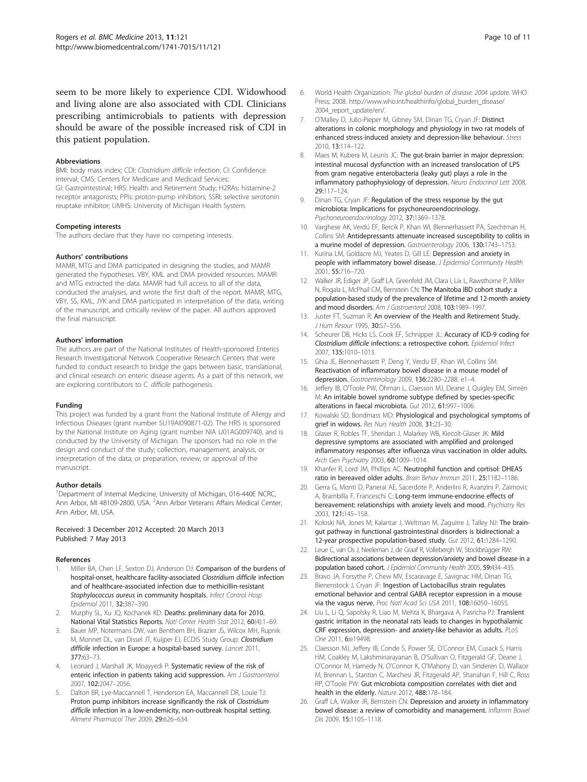<span id="page-9-0"></span>seem to be more likely to experience CDI. Widowhood and living alone are also associated with CDI. Clinicians prescribing antimicrobials to patients with depression should be aware of the possible increased risk of CDI in this patient population.

#### Abbreviations

BMI: body mass index; CDI: Clostridium difficile infection; CI: Confidence interval; CMS: Centers for Medicare and Medicaid Services; GI: Gastrointestinal; HRS: Health and Retirement Study; H2RAs: histamine-2 receptor antagonists; PPIs: proton-pump inhibitors; SSRI: selective serotonin reuptake inhibitor; UMHS: University of Michigan Health System.

#### Competing interests

The authors declare that they have no competing interests.

#### Authors' contributions

MAMR, MTG and DMA participated in designing the studies, and MAMR generated the hypotheses. VBY, KML and DMA provided resources. MAMR and MTG extracted the data. MAMR had full access to all of the data, conducted the analyses, and wrote the first draft of the report. MAMR, MTG, VBY, SS, KML, JYK and DMA participated in interpretation of the data, writing of the manuscript, and critically review of the paper. All authors approved the final manuscript.

#### Authors' information

The authors are part of the National Institutes of Health-sponsored Enterics Research Investigational Network Cooperative Research Centers that were funded to conduct research to bridge the gaps between basic, translational, and clinical research on enteric disease agents. As a part of this network, we are exploring contributors to C. difficile pathogenesis.

#### Funding

This project was funded by a grant from the National Institute of Allergy and Infectious Diseases (grant number 5U19AI090871-02). The HRS is sponsored by the National Institute on Aging (grant number NIA U01AG009740), and is conducted by the University of Michigan. The sponsors had no role in the design and conduct of the study; collection, management, analysis, or interpretation of the data; or preparation, review, or approval of the manuscript.

#### Author details

<sup>1</sup>Department of Internal Medicine, University of Michigan, 016-440E NCRC, Ann Arbor, MI 48109-2800, USA. <sup>2</sup>Ann Arbor Veterans Affairs Medical Center, Ann Arbor, MI, USA.

#### Received: 3 December 2012 Accepted: 20 March 2013 Published: 7 May 2013

#### References

- 1. Miller BA, Chen LF, Sexton DJ, Anderson DJ: Comparison of the burdens of hospital-onset, healthcare facility-associated Clostridium difficile infection and of healthcare-associated infection due to methicillin-resistant Staphylococcus aureus in community hospitals. Infect Control Hosp Epidemiol 2011, 32:387–390.
- 2. Murphy SL, Xu JQ, Kochanek KD: Deaths: preliminary data for 2010. National Vital Statistics Reports. Natl Center Health Stat 2012, 60(4):1–69.
- Bauer MP, Notermans DW, van Benthem BH, Brazier JS, Wilcox MH, Rupnik M, Monnet DL, van Dissel JT, Kuijper EJ, ECDIS Study Group: Clostridium difficile infection in Europe: a hospital-based survey. Lancet 2011, 377:63–73.
- Leonard J, Marshall JK, Moayyedi P: Systematic review of the risk of enteric infection in patients taking acid suppression. Am J Gastroenterol 2007, 102:2047–2056.
- Dalton BR, Lye-Maccannell T, Henderson EA, Maccannell DR, Louie TJ: Proton pump inhibitors increase significantly the risk of Clostridium difficile infection in a low-endemicity, non-outbreak hospital setting. Aliment Pharmacol Ther 2009, 29:626–634.
- 7. O'Malley D, Julio-Pieper M, Gibney SM, Dinan TG, Cryan JF: Distinct alterations in colonic morphology and physiology in two rat models of enhanced stress-induced anxiety and depression-like behaviour. Stress 2010, 13:114–122.
- 8. Maes M, Kubera M, Leunis JC: The gut-brain barrier in major depression: intestinal mucosal dysfunction with an increased translocation of LPS from gram negative enterobacteria (leaky gut) plays a role in the inflammatory pathophysiology of depression. Neuro Endocrinol Lett 2008, 29:117–124.
- 9. Dinan TG, Cryan JF: Regulation of the stress response by the gut microbiota: Implications for psychoneuroendocrinology. Psychoneuroendocrinology 2012, 37:1369–1378.
- 10. Varghese AK, Verdú EF, Bercik P, Khan WI, Blennerhassett PA, Szechtman H, Collins SM: Antidepressants attenuate increased susceptibility to colitis in a murine model of depression. Gastroenterology 2006, 130:1743–1753.
- 11. Kurina LM, Goldacre MJ, Yeates D, Gill LE: Depression and anxiety in people with inflammatory bowel disease. J Epidemiol Community Health 2001, 55:716–720.
- 12. Walker JR, Ediger JP, Graff LA, Greenfeld JM, Clara I, Lix L, Rawsthorne P, Miller N, Rogala L, McPhail CM, Bernstein CN: The Manitoba IBD cohort study: a population-based study of the prevalence of lifetime and 12-month anxiety and mood disorders. Am J Gastroenterol 2008, 103:1989-1997.
- 13. Juster FT, Suzman R: An overview of the Health and Retirement Study. J Hum Resour 1995, 30:S7–S56.
- 14. Scheurer DB, Hicks LS, Cook EF, Schnipper JL: Accuracy of ICD-9 coding for Clostridium difficile infections: a retrospective cohort. Epidemiol Infect 2007, 135:1010–1013.
- 15. Ghia JE, Blennerhassett P, Deng Y, Verdu EF, Khan WI, Collins SM: Reactivation of inflammatory bowel disease in a mouse model of depression. Gastroenterology 2009, 136:2280–2288. e1–4.
- 16. Jeffery IB, O'Toole PW, Öhman L, Claesson MJ, Deane J, Quigley EM, Simrén M: An irritable bowel syndrome subtype defined by species-specific alterations in faecal microbiota. Gut 2012, 61:997–1006.
- 17. Kowalski SD, Bondmass MD: Physiological and psychological symptoms of grief in widows. Res Nurs Health 2008, 31:23–30.
- 18. Glaser R, Robles TF, Sheridan J, Malarkey WB, Kiecolt-Glaser JK: Mild depressive symptoms are associated with amplified and prolonged inflammatory responses after influenza virus vaccination in older adults. Arch Gen Psychiatry 2003, 60:1009–1014.
- 19. Khanfer R, Lord JM, Phillips AC: Neutrophil function and cortisol: DHEAS ratio in bereaved older adults. Brain Behav Immun 2011, 25:1182–1186.
- 20. Gerra G, Monti D, Panerai AE, Sacerdote P, Anderlini R, Avanzini P, Zaimovic A, Brambilla F, Franceschi C: Long-term immune-endocrine effects of bereavement: relationships with anxiety levels and mood. Psychiatry Res 2003, 121:145–158.
- 21. Koloski NA, Jones M, Kalantar J, Weltman M, Zaguirre J, Talley NJ: The braingut pathway in functional gastrointestinal disorders is bidirectional: a 12-year prospective population-based study. Gut 2012, 61:1284–1290.
- 22. Leue C, van Os J, Neeleman J, de Graaf R, Vollebergh W, Stockbrügger RW: Bidirectional associations between depression/anxiety and bowel disease in a population based cohort. J Epidemiol Community Health 2005, 59:434-435.
- 23. Bravo JA, Forsythe P, Chew MV, Escaravage E, Savignac HM, Dinan TG, Bienenstock J, Cryan JF: Ingestion of Lactobacillus strain regulates emotional behavior and central GABA receptor expression in a mouse via the vagus nerve. Proc Natl Acad Sci USA 2011, 108:16050–16055.
- 24. Liu L, Li Q, Sapolsky R, Liao M, Mehta K, Bhargava A, Pasricha PJ: Transient gastric irritation in the neonatal rats leads to changes in hypothalamic CRF expression, depression- and anxiety-like behavior as adults. PLoS One 2011, 6:e19498.
- 25. Claesson MJ, Jeffery IB, Conde S, Power SE, O'Connor EM, Cusack S, Harris HM, Coakley M, Lakshminarayanan B, O'Sullivan O, Fitzgerald GF, Deane J, O'Connor M, Harnedy N, O'Connor K, O'Mahony D, van Sinderen D, Wallace M, Brennan L, Stanton C, Marchesi JR, Fitzgerald AP, Shanahan F, Hill C, Ross RP, O'Toole PW: Gut microbiota composition correlates with diet and health in the elderly. Nature 2012, 488:178–184.
- 26. Graff LA, Walker JR, Bernstein CN: Depression and anxiety in inflammatory bowel disease: a review of comorbidity and management. Inflamm Bowel Dis 2009, 15:1105–1118.